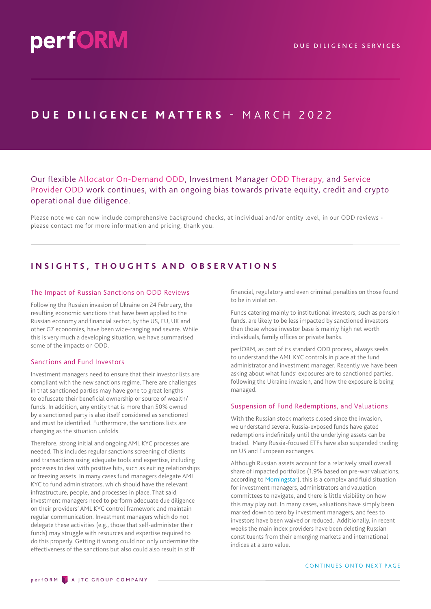# **DUE DILIGENCE MATTERS** - M A R C H 2 0 2 2

# Our flexible Allocator On-Demand ODD, Investment Manager ODD Therapy, and Service Provider ODD work continues, with an ongoing bias towards private equity, credit and crypto operational due diligence.

Please note we can now include comprehensive background checks, at individual and/or entity level, in our ODD reviews please contact me for more information and pricing, thank you.

## **INSIGHTS, THOUGHTS AND OBSERVATIONS**

#### The Impact of Russian Sanctions on ODD Reviews

Following the Russian invasion of Ukraine on 24 February, the resulting economic sanctions that have been applied to the Russian economy and financial sector, by the US, EU, UK and other G7 economies, have been wide-ranging and severe. While this is very much a developing situation, we have summarised some of the impacts on ODD.

#### Sanctions and Fund Investors

Investment managers need to ensure that their investor lists are compliant with the new sanctions regime. There are challenges in that sanctioned parties may have gone to great lengths to obfuscate their beneficial ownership or source of wealth/ funds. In addition, any entity that is more than 50% owned by a sanctioned party is also itself considered as sanctioned and must be identified. Furthermore, the sanctions lists are changing as the situation unfolds.

Therefore, strong initial and ongoing AML KYC processes are needed. This includes regular sanctions screening of clients and transactions using adequate tools and expertise, including processes to deal with positive hits, such as exiting relationships or freezing assets. In many cases fund managers delegate AML KYC to fund administrators, which should have the relevant infrastructure, people, and processes in place. That said, investment managers need to perform adequate due diligence on their providers' AML KYC control framework and maintain regular communication. Investment managers which do not delegate these activities (e.g., those that self-administer their funds) may struggle with resources and expertise required to do this properly. Getting it wrong could not only undermine the effectiveness of the sanctions but also could also result in stiff

financial, regulatory and even criminal penalties on those found to be in violation.

Funds catering mainly to institutional investors, such as pension funds, are likely to be less impacted by sanctioned investors than those whose investor base is mainly high net worth individuals, family offices or private banks.

perfORM, as part of its standard ODD process, always seeks to understand the AML KYC controls in place at the fund administrator and investment manager. Recently we have been asking about what funds' exposures are to sanctioned parties, following the Ukraine invasion, and how the exposure is being managed.

#### Suspension of Fund Redemptions, and Valuations

With the Russian stock markets closed since the invasion, we understand several Russia-exposed funds have gated redemptions indefinitely until the underlying assets can be traded. Many Russia-focused ETFs have also suspended trading on US and European exchanges.

Although Russian assets account for a relatively small overall share of impacted portfolios (1.9% based on pre-war valuations, according to [Morningstar\)](https://www.morningstar.com/articles/1083060/index-providers-react-to-russian-market-turmoil), this is a complex and fluid situation for investment managers, administrators and valuation committees to navigate, and there is little visibility on how this may play out. In many cases, valuations have simply been marked down to zero by investment managers, and fees to investors have been waived or reduced. Additionally, in recent weeks the main index providers have been deleting Russian constituents from their emerging markets and international indices at a zero value.